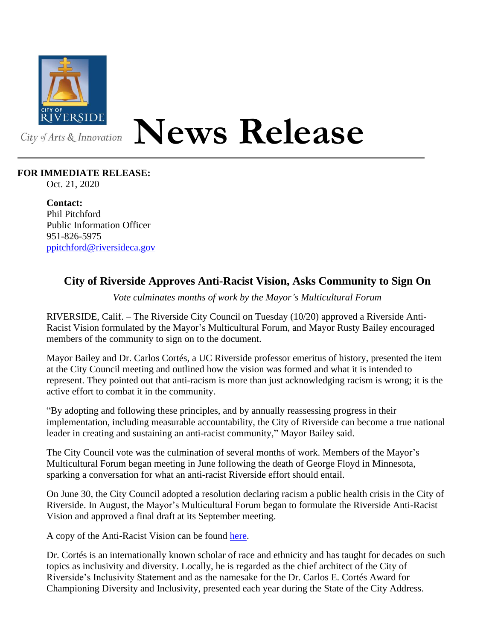

## **News Release**

## **FOR IMMEDIATE RELEASE:**

Oct. 21, 2020

**Contact:** Phil Pitchford Public Information Officer 951-826-5975 [ppitchford@riversideca.gov](mailto:ppitchford@riversideca.gov)

## **City of Riverside Approves Anti-Racist Vision, Asks Community to Sign On**

*Vote culminates months of work by the Mayor's Multicultural Forum*

RIVERSIDE, Calif. – The Riverside City Council on Tuesday (10/20) approved a Riverside Anti-Racist Vision formulated by the Mayor's Multicultural Forum, and Mayor Rusty Bailey encouraged members of the community to sign on to the document.

Mayor Bailey and Dr. Carlos Cortés, a UC Riverside professor emeritus of history, presented the item at the City Council meeting and outlined how the vision was formed and what it is intended to represent. They pointed out that anti-racism is more than just acknowledging racism is wrong; it is the active effort to combat it in the community.

"By adopting and following these principles, and by annually reassessing progress in their implementation, including measurable accountability, the City of Riverside can become a true national leader in creating and sustaining an anti-racist community," Mayor Bailey said.

The City Council vote was the culmination of several months of work. Members of the Mayor's Multicultural Forum began meeting in June following the death of George Floyd in Minnesota, sparking a conversation for what an anti-racist Riverside effort should entail.

On June 30, the City Council adopted a resolution declaring racism a public health crisis in the City of Riverside. In August, the Mayor's Multicultural Forum began to formulate the Riverside Anti-Racist Vision and approved a final draft at its September meeting.

A copy of the Anti-Racist Vision can be found [here.](https://riversideca.legistar.com/View.ashx?M=F&ID=8839823&GUID=EFA063AD-A76B-4209-BB4D-89206C3DFE13)

Dr. Cortés is an internationally known scholar of race and ethnicity and has taught for decades on such topics as inclusivity and diversity. Locally, he is regarded as the chief architect of the City of Riverside's Inclusivity Statement and as the namesake for the Dr. Carlos E. Cortés Award for Championing Diversity and Inclusivity, presented each year during the State of the City Address.